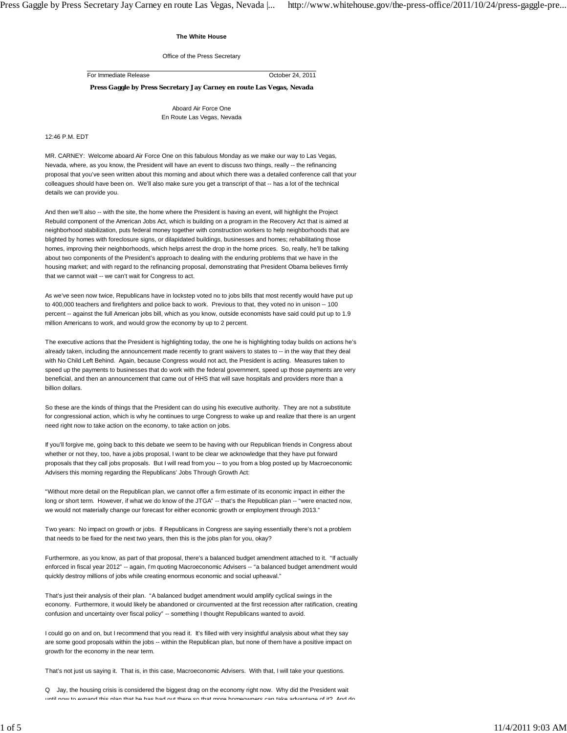## **The White House**

Office of the Press Secretary

For Immediate Release October 24, 2011

**Press Gaggle by Press Secretary Jay Carney en route Las Vegas, Nevada**

Aboard Air Force One En Route Las Vegas, Nevada

## 12:46 P.M. EDT

MR. CARNEY: Welcome aboard Air Force One on this fabulous Monday as we make our way to Las Vegas, Nevada, where, as you know, the President will have an event to discuss two things, really -- the refinancing proposal that you've seen written about this morning and about which there was a detailed conference call that your colleagues should have been on. We'll also make sure you get a transcript of that -- has a lot of the technical details we can provide you.

And then we'll also -- with the site, the home where the President is having an event, will highlight the Project Rebuild component of the American Jobs Act, which is building on a program in the Recovery Act that is aimed at neighborhood stabilization, puts federal money together with construction workers to help neighborhoods that are blighted by homes with foreclosure signs, or dilapidated buildings, businesses and homes; rehabilitating those homes, improving their neighborhoods, which helps arrest the drop in the home prices. So, really, he'll be talking about two components of the President's approach to dealing with the enduring problems that we have in the housing market; and with regard to the refinancing proposal, demonstrating that President Obama believes firmly that we cannot wait -- we can't wait for Congress to act.

As we've seen now twice, Republicans have in lockstep voted no to jobs bills that most recently would have put up to 400,000 teachers and firefighters and police back to work. Previous to that, they voted no in unison -- 100 percent -- against the full American jobs bill, which as you know, outside economists have said could put up to 1.9 million Americans to work, and would grow the economy by up to 2 percent.

The executive actions that the President is highlighting today, the one he is highlighting today builds on actions he's already taken, including the announcement made recently to grant waivers to states to -- in the way that they deal with No Child Left Behind. Again, because Congress would not act, the President is acting. Measures taken to speed up the payments to businesses that do work with the federal government, speed up those payments are very beneficial, and then an announcement that came out of HHS that will save hospitals and providers more than a billion dollars.

So these are the kinds of things that the President can do using his executive authority. They are not a substitute for congressional action, which is why he continues to urge Congress to wake up and realize that there is an urgent need right now to take action on the economy, to take action on jobs.

If you'll forgive me, going back to this debate we seem to be having with our Republican friends in Congress about whether or not they, too, have a jobs proposal, I want to be clear we acknowledge that they have put forward proposals that they call jobs proposals. But I will read from you -- to you from a blog posted up by Macroeconomic Advisers this morning regarding the Republicans' Jobs Through Growth Act:

"Without more detail on the Republican plan, we cannot offer a firm estimate of its economic impact in either the long or short term. However, if what we do know of the JTGA" -- that's the Republican plan -- "were enacted now, we would not materially change our forecast for either economic growth or employment through 2013."

Two years: No impact on growth or jobs. If Republicans in Congress are saying essentially there's not a problem that needs to be fixed for the next two years, then this is the jobs plan for you, okay?

Furthermore, as you know, as part of that proposal, there's a balanced budget amendment attached to it. "If actually enforced in fiscal year 2012" -- again, I'm quoting Macroeconomic Advisers -- "a balanced budget amendment would quickly destroy millions of jobs while creating enormous economic and social upheaval."

That's just their analysis of their plan. "A balanced budget amendment would amplify cyclical swings in the economy. Furthermore, it would likely be abandoned or circumvented at the first recession after ratification, creating confusion and uncertainty over fiscal policy" -- something I thought Republicans wanted to avoid.

I could go on and on, but I recommend that you read it. It's filled with very insightful analysis about what they say are some good proposals within the jobs -- within the Republican plan, but none of them have a positive impact on growth for the economy in the near term.

That's not just us saying it. That is, in this case, Macroeconomic Advisers. With that, I will take your questions.

Q Jay, the housing crisis is considered the biggest drag on the economy right now. Why did the President wait mand this nIan that ha has had out thara so that more homeowners can take advantage of it? And do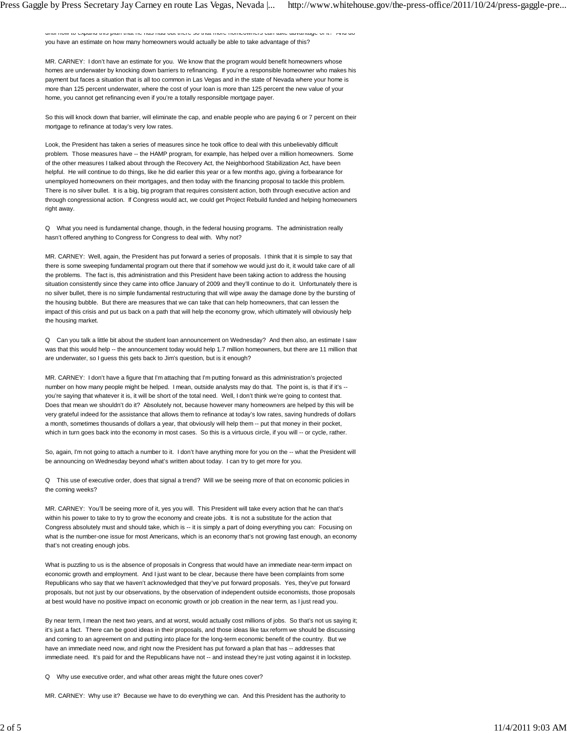until now to expand this plan that he has had out there so that more homeowners can take advantage of it? And do you have an estimate on how many homeowners would actually be able to take advantage of this?

MR. CARNEY: I don't have an estimate for you. We know that the program would benefit homeowners whose homes are underwater by knocking down barriers to refinancing. If you're a responsible homeowner who makes his payment but faces a situation that is all too common in Las Vegas and in the state of Nevada where your home is more than 125 percent underwater, where the cost of your loan is more than 125 percent the new value of your home, you cannot get refinancing even if you're a totally responsible mortgage payer.

So this will knock down that barrier, will eliminate the cap, and enable people who are paying 6 or 7 percent on their mortgage to refinance at today's very low rates.

Look, the President has taken a series of measures since he took office to deal with this unbelievably difficult problem. Those measures have -- the HAMP program, for example, has helped over a million homeowners. Some of the other measures I talked about through the Recovery Act, the Neighborhood Stabilization Act, have been helpful. He will continue to do things, like he did earlier this year or a few months ago, giving a forbearance for unemployed homeowners on their mortgages, and then today with the financing proposal to tackle this problem. There is no silver bullet. It is a big, big program that requires consistent action, both through executive action and through congressional action. If Congress would act, we could get Project Rebuild funded and helping homeowners right away.

Q What you need is fundamental change, though, in the federal housing programs. The administration really hasn't offered anything to Congress for Congress to deal with. Why not?

MR. CARNEY: Well, again, the President has put forward a series of proposals. I think that it is simple to say that there is some sweeping fundamental program out there that if somehow we would just do it, it would take care of all the problems. The fact is, this administration and this President have been taking action to address the housing situation consistently since they came into office January of 2009 and they'll continue to do it. Unfortunately there is no silver bullet, there is no simple fundamental restructuring that will wipe away the damage done by the bursting of the housing bubble. But there are measures that we can take that can help homeowners, that can lessen the impact of this crisis and put us back on a path that will help the economy grow, which ultimately will obviously help the housing market.

Q Can you talk a little bit about the student loan announcement on Wednesday? And then also, an estimate I saw was that this would help -- the announcement today would help 1.7 million homeowners, but there are 11 million that are underwater, so I guess this gets back to Jim's question, but is it enough?

MR. CARNEY: I don't have a figure that I'm attaching that I'm putting forward as this administration's projected number on how many people might be helped. I mean, outside analysts may do that. The point is, is that if it's -you're saying that whatever it is, it will be short of the total need. Well, I don't think we're going to contest that. Does that mean we shouldn't do it? Absolutely not, because however many homeowners are helped by this will be very grateful indeed for the assistance that allows them to refinance at today's low rates, saving hundreds of dollars a month, sometimes thousands of dollars a year, that obviously will help them -- put that money in their pocket, which in turn goes back into the economy in most cases. So this is a virtuous circle, if you will -- or cycle, rather.

So, again, I'm not going to attach a number to it. I don't have anything more for you on the -- what the President will be announcing on Wednesday beyond what's written about today. I can try to get more for you.

Q This use of executive order, does that signal a trend? Will we be seeing more of that on economic policies in the coming weeks?

MR. CARNEY: You'll be seeing more of it, yes you will. This President will take every action that he can that's within his power to take to try to grow the economy and create jobs. It is not a substitute for the action that Congress absolutely must and should take, which is -- it is simply a part of doing everything you can: Focusing on what is the number-one issue for most Americans, which is an economy that's not growing fast enough, an economy that's not creating enough jobs.

What is puzzling to us is the absence of proposals in Congress that would have an immediate near-term impact on economic growth and employment. And I just want to be clear, because there have been complaints from some Republicans who say that we haven't acknowledged that they've put forward proposals. Yes, they've put forward proposals, but not just by our observations, by the observation of independent outside economists, those proposals at best would have no positive impact on economic growth or job creation in the near term, as I just read you.

By near term, I mean the next two years, and at worst, would actually cost millions of jobs. So that's not us saying it; it's just a fact. There can be good ideas in their proposals, and those ideas like tax reform we should be discussing and coming to an agreement on and putting into place for the long-term economic benefit of the country. But we have an immediate need now, and right now the President has put forward a plan that has -- addresses that immediate need. It's paid for and the Republicans have not -- and instead they're just voting against it in lockstep.

Q Why use executive order, and what other areas might the future ones cover?

MR. CARNEY: Why use it? Because we have to do everything we can. And this President has the authority to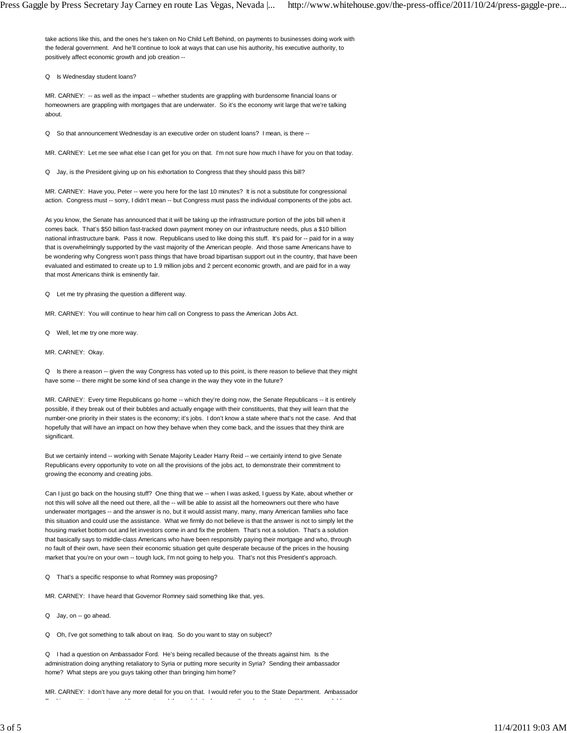take actions like this, and the ones he's taken on No Child Left Behind, on payments to businesses doing work with the federal government. And he'll continue to look at ways that can use his authority, his executive authority, to positively affect economic growth and job creation --

Q Is Wednesday student loans?

MR. CARNEY: -- as well as the impact -- whether students are grappling with burdensome financial loans or homeowners are grappling with mortgages that are underwater. So it's the economy writ large that we're talking about.

Q So that announcement Wednesday is an executive order on student loans? I mean, is there --

MR. CARNEY: Let me see what else I can get for you on that. I'm not sure how much I have for you on that today.

Q Jay, is the President giving up on his exhortation to Congress that they should pass this bill?

MR. CARNEY: Have you, Peter -- were you here for the last 10 minutes? It is not a substitute for congressional action. Congress must -- sorry, I didn't mean -- but Congress must pass the individual components of the jobs act.

As you know, the Senate has announced that it will be taking up the infrastructure portion of the jobs bill when it comes back. That's \$50 billion fast-tracked down payment money on our infrastructure needs, plus a \$10 billion national infrastructure bank. Pass it now. Republicans used to like doing this stuff. It's paid for -- paid for in a way that is overwhelmingly supported by the vast majority of the American people. And those same Americans have to be wondering why Congress won't pass things that have broad bipartisan support out in the country, that have been evaluated and estimated to create up to 1.9 million jobs and 2 percent economic growth, and are paid for in a way that most Americans think is eminently fair.

Q Let me try phrasing the question a different way.

MR. CARNEY: You will continue to hear him call on Congress to pass the American Jobs Act.

- Q Well, let me try one more way.
- MR. CARNEY: Okay.

Q Is there a reason -- given the way Congress has voted up to this point, is there reason to believe that they might have some -- there might be some kind of sea change in the way they vote in the future?

MR. CARNEY: Every time Republicans go home -- which they're doing now, the Senate Republicans -- it is entirely possible, if they break out of their bubbles and actually engage with their constituents, that they will learn that the number-one priority in their states is the economy; it's jobs. I don't know a state where that's not the case. And that hopefully that will have an impact on how they behave when they come back, and the issues that they think are significant.

But we certainly intend -- working with Senate Majority Leader Harry Reid -- we certainly intend to give Senate Republicans every opportunity to vote on all the provisions of the jobs act, to demonstrate their commitment to growing the economy and creating jobs.

Can I just go back on the housing stuff? One thing that we -- when I was asked, I guess by Kate, about whether or not this will solve all the need out there, all the -- will be able to assist all the homeowners out there who have underwater mortgages -- and the answer is no, but it would assist many, many, many American families who face this situation and could use the assistance. What we firmly do not believe is that the answer is not to simply let the housing market bottom out and let investors come in and fix the problem. That's not a solution. That's a solution that basically says to middle-class Americans who have been responsibly paying their mortgage and who, through no fault of their own, have seen their economic situation get quite desperate because of the prices in the housing market that you're on your own -- tough luck, I'm not going to help you. That's not this President's approach.

Q That's a specific response to what Romney was proposing?

MR. CARNEY: I have heard that Governor Romney said something like that, yes.

- Q Jay, on -- go ahead.
- Q Oh, I've got something to talk about on Iraq. So do you want to stay on subject?

Q I had a question on Ambassador Ford. He's being recalled because of the threats against him. Is the administration doing anything retaliatory to Syria or putting more security in Syria? Sending their ambassador home? What steps are you guys taking other than bringing him home?

MR. CARNEY: I don't have any more detail for you on that. I would refer you to the State Department. Ambassador F d'an de te i de te i dibliothèque de la territorie de la territorie de la territorie de la territorie de la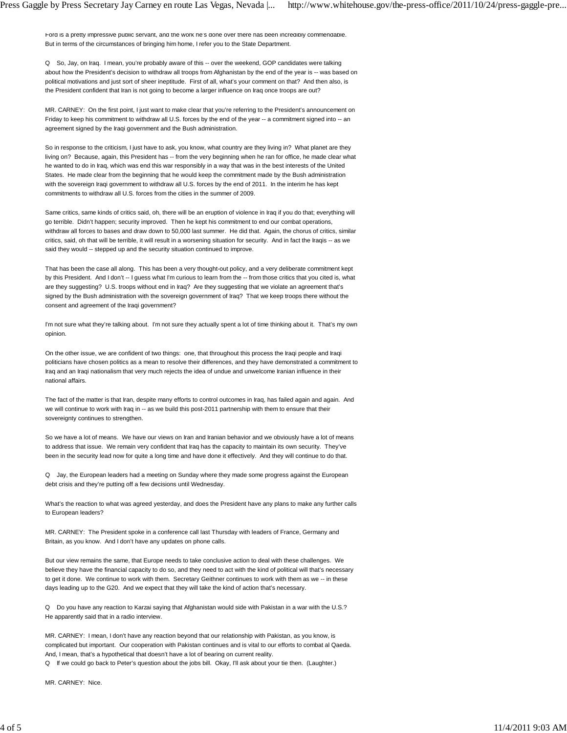Ford is a pretty impressive public servant, and the work he's done over there has been incredibly commendable. But in terms of the circumstances of bringing him home, I refer you to the State Department.

Q So, Jay, on Iraq. I mean, you're probably aware of this -- over the weekend, GOP candidates were talking about how the President's decision to withdraw all troops from Afghanistan by the end of the year is -- was based on political motivations and just sort of sheer ineptitude. First of all, what's your comment on that? And then also, is the President confident that Iran is not going to become a larger influence on Iraq once troops are out?

MR. CARNEY: On the first point, I just want to make clear that you're referring to the President's announcement on Friday to keep his commitment to withdraw all U.S. forces by the end of the year -- a commitment signed into -- an agreement signed by the Iraqi government and the Bush administration.

So in response to the criticism, I just have to ask, you know, what country are they living in? What planet are they living on? Because, again, this President has -- from the very beginning when he ran for office, he made clear what he wanted to do in Iraq, which was end this war responsibly in a way that was in the best interests of the United States. He made clear from the beginning that he would keep the commitment made by the Bush administration with the sovereign Iraqi government to withdraw all U.S. forces by the end of 2011. In the interim he has kept commitments to withdraw all U.S. forces from the cities in the summer of 2009.

Same critics, same kinds of critics said, oh, there will be an eruption of violence in Iraq if you do that; everything will go terrible. Didn't happen; security improved. Then he kept his commitment to end our combat operations, withdraw all forces to bases and draw down to 50,000 last summer. He did that. Again, the chorus of critics, similar critics, said, oh that will be terrible, it will result in a worsening situation for security. And in fact the Iraqis -- as we said they would -- stepped up and the security situation continued to improve.

That has been the case all along. This has been a very thought-out policy, and a very deliberate commitment kept by this President. And I don't -- I guess what I'm curious to learn from the -- from those critics that you cited is, what are they suggesting? U.S. troops without end in Iraq? Are they suggesting that we violate an agreement that's signed by the Bush administration with the sovereign government of Iraq? That we keep troops there without the consent and agreement of the Iraqi government?

I'm not sure what they're talking about. I'm not sure they actually spent a lot of time thinking about it. That's my own opinion.

On the other issue, we are confident of two things: one, that throughout this process the Iraqi people and Iraqi politicians have chosen politics as a mean to resolve their differences, and they have demonstrated a commitment to Iraq and an Iraqi nationalism that very much rejects the idea of undue and unwelcome Iranian influence in their national affairs.

The fact of the matter is that Iran, despite many efforts to control outcomes in Iraq, has failed again and again. And we will continue to work with Iraq in -- as we build this post-2011 partnership with them to ensure that their sovereignty continues to strengthen.

So we have a lot of means. We have our views on Iran and Iranian behavior and we obviously have a lot of means to address that issue. We remain very confident that Iraq has the capacity to maintain its own security. They've been in the security lead now for quite a long time and have done it effectively. And they will continue to do that.

Q Jay, the European leaders had a meeting on Sunday where they made some progress against the European debt crisis and they're putting off a few decisions until Wednesday.

What's the reaction to what was agreed yesterday, and does the President have any plans to make any further calls to European leaders?

MR. CARNEY: The President spoke in a conference call last Thursday with leaders of France, Germany and Britain, as you know. And I don't have any updates on phone calls.

But our view remains the same, that Europe needs to take conclusive action to deal with these challenges. We believe they have the financial capacity to do so, and they need to act with the kind of political will that's necessary to get it done. We continue to work with them. Secretary Geithner continues to work with them as we -- in these days leading up to the G20. And we expect that they will take the kind of action that's necessary.

Q Do you have any reaction to Karzai saying that Afghanistan would side with Pakistan in a war with the U.S.? He apparently said that in a radio interview.

MR. CARNEY: I mean, I don't have any reaction beyond that our relationship with Pakistan, as you know, is complicated but important. Our cooperation with Pakistan continues and is vital to our efforts to combat al Qaeda. And, I mean, that's a hypothetical that doesn't have a lot of bearing on current reality.

Q If we could go back to Peter's question about the jobs bill. Okay, I'll ask about your tie then. (Laughter.)

MR. CARNEY: Nice.